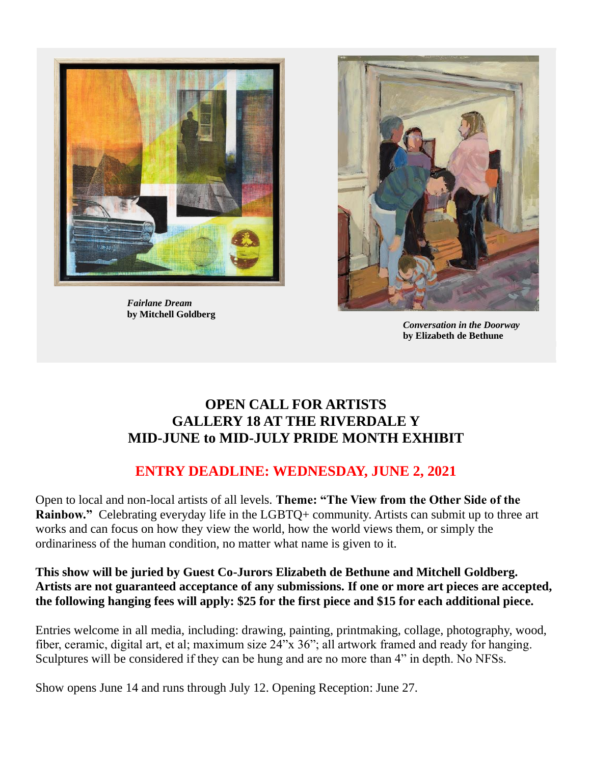

 *Fairlane Dream* **by Mitchell Goldberg**



*Conversation in the Doorway*  **by Elizabeth de Bethune**

## **OPEN CALL FOR ARTISTS GALLERY 18 AT THE RIVERDALE Y MID-JUNE to MID-JULY PRIDE MONTH EXHIBIT**

## **ENTRY DEADLINE: WEDNESDAY, JUNE 2, 2021**

Open to local and non-local artists of all levels. **Theme: "The View from the Other Side of the Rainbow."** Celebrating everyday life in the LGBTQ+ community. Artists can submit up to three art works and can focus on how they view the world, how the world views them, or simply the ordinariness of the human condition, no matter what name is given to it.

## **This show will be juried by Guest Co-Jurors Elizabeth de Bethune and Mitchell Goldberg. Artists are not guaranteed acceptance of any submissions. If one or more art pieces are accepted, the following hanging fees will apply: \$25 for the first piece and \$15 for each additional piece.**

Entries welcome in all media, including: drawing, painting, printmaking, collage, photography, wood, fiber, ceramic, digital art, et al; maximum size 24"x 36"; all artwork framed and ready for hanging. Sculptures will be considered if they can be hung and are no more than 4" in depth. No NFSs.

Show opens June 14 and runs through July 12. Opening Reception: June 27.